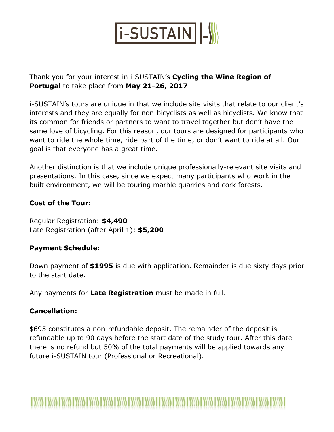

Thank you for your interest in i-SUSTAIN's **Cycling the Wine Region of Portugal** to take place from **May 21-26, 2017**

i-SUSTAIN's tours are unique in that we include site visits that relate to our client's interests and they are equally for non-bicyclists as well as bicyclists. We know that its common for friends or partners to want to travel together but don't have the same love of bicycling. For this reason, our tours are designed for participants who want to ride the whole time, ride part of the time, or don't want to ride at all. Our goal is that everyone has a great time.

Another distinction is that we include unique professionally-relevant site visits and presentations. In this case, since we expect many participants who work in the built environment, we will be touring marble quarries and cork forests.

### **Cost of the Tour:**

Regular Registration: **\$4,490** Late Registration (after April 1): **\$5,200**

## **Payment Schedule:**

Down payment of **\$1995** is due with application. Remainder is due sixty days prior to the start date.

Any payments for **Late Registration** must be made in full.

## **Cancellation:**

\$695 constitutes a non-refundable deposit. The remainder of the deposit is refundable up to 90 days before the start date of the study tour. After this date there is no refund but 50% of the total payments will be applied towards any future i-SUSTAIN tour (Professional or Recreational).